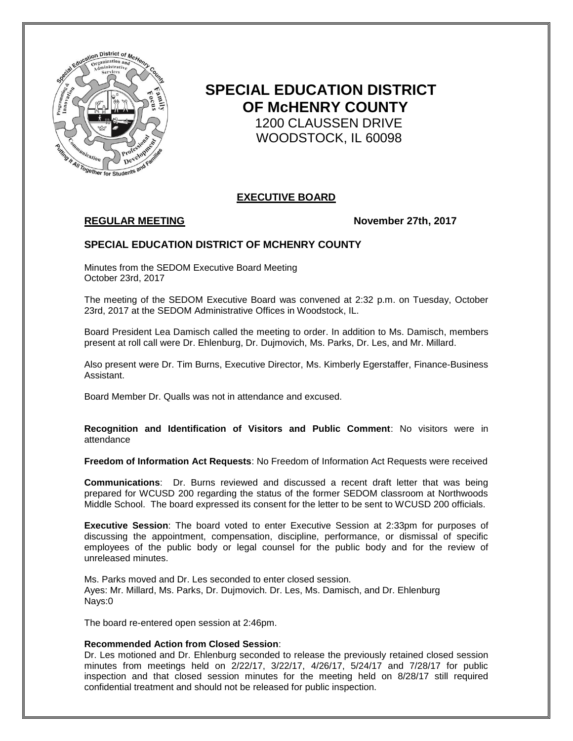

# **SPECIAL EDUCATION DISTRICT OF McHENRY COUNTY** 1200 CLAUSSEN DRIVE WOODSTOCK, IL 60098

# **EXECUTIVE BOARD**

## **REGULAR MEETING November 27th, 2017**

# **SPECIAL EDUCATION DISTRICT OF MCHENRY COUNTY**

Minutes from the SEDOM Executive Board Meeting October 23rd, 2017

The meeting of the SEDOM Executive Board was convened at 2:32 p.m. on Tuesday, October 23rd, 2017 at the SEDOM Administrative Offices in Woodstock, IL.

Board President Lea Damisch called the meeting to order. In addition to Ms. Damisch, members present at roll call were Dr. Ehlenburg, Dr. Dujmovich, Ms. Parks, Dr. Les, and Mr. Millard.

Also present were Dr. Tim Burns, Executive Director, Ms. Kimberly Egerstaffer, Finance-Business Assistant.

Board Member Dr. Qualls was not in attendance and excused.

**Recognition and Identification of Visitors and Public Comment**: No visitors were in attendance

**Freedom of Information Act Requests**: No Freedom of Information Act Requests were received

**Communications**: Dr. Burns reviewed and discussed a recent draft letter that was being prepared for WCUSD 200 regarding the status of the former SEDOM classroom at Northwoods Middle School. The board expressed its consent for the letter to be sent to WCUSD 200 officials.

**Executive Session**: The board voted to enter Executive Session at 2:33pm for purposes of discussing the appointment, compensation, discipline, performance, or dismissal of specific employees of the public body or legal counsel for the public body and for the review of unreleased minutes.

Ms. Parks moved and Dr. Les seconded to enter closed session. Ayes: Mr. Millard, Ms. Parks, Dr. Dujmovich. Dr. Les, Ms. Damisch, and Dr. Ehlenburg Nays:0

The board re-entered open session at 2:46pm.

#### **Recommended Action from Closed Session**:

Dr. Les motioned and Dr. Ehlenburg seconded to release the previously retained closed session minutes from meetings held on 2/22/17, 3/22/17, 4/26/17, 5/24/17 and 7/28/17 for public inspection and that closed session minutes for the meeting held on 8/28/17 still required confidential treatment and should not be released for public inspection.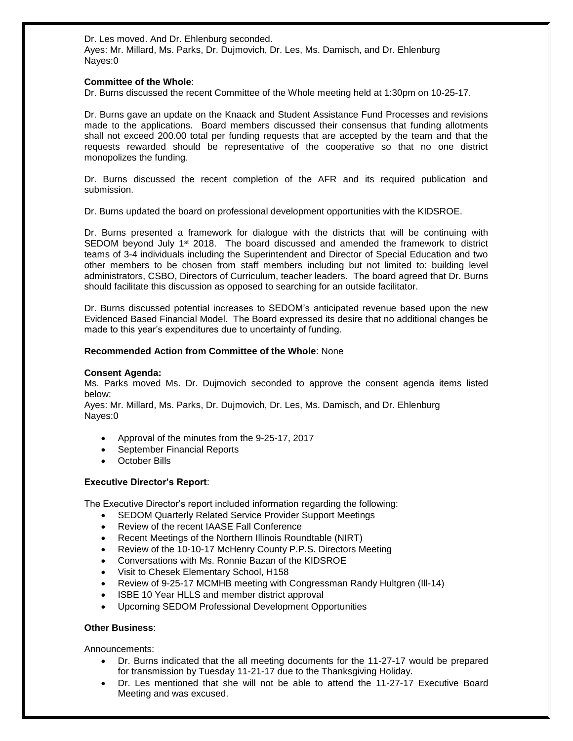Dr. Les moved. And Dr. Ehlenburg seconded. Ayes: Mr. Millard, Ms. Parks, Dr. Dujmovich, Dr. Les, Ms. Damisch, and Dr. Ehlenburg Nayes:0

### **Committee of the Whole**:

Dr. Burns discussed the recent Committee of the Whole meeting held at 1:30pm on 10-25-17.

Dr. Burns gave an update on the Knaack and Student Assistance Fund Processes and revisions made to the applications. Board members discussed their consensus that funding allotments shall not exceed 200.00 total per funding requests that are accepted by the team and that the requests rewarded should be representative of the cooperative so that no one district monopolizes the funding.

Dr. Burns discussed the recent completion of the AFR and its required publication and submission.

Dr. Burns updated the board on professional development opportunities with the KIDSROE.

Dr. Burns presented a framework for dialogue with the districts that will be continuing with SEDOM beyond July  $1<sup>st</sup>$  2018. The board discussed and amended the framework to district teams of 3-4 individuals including the Superintendent and Director of Special Education and two other members to be chosen from staff members including but not limited to: building level administrators, CSBO, Directors of Curriculum, teacher leaders. The board agreed that Dr. Burns should facilitate this discussion as opposed to searching for an outside facilitator.

Dr. Burns discussed potential increases to SEDOM's anticipated revenue based upon the new Evidenced Based Financial Model. The Board expressed its desire that no additional changes be made to this year's expenditures due to uncertainty of funding.

### **Recommended Action from Committee of the Whole**: None

#### **Consent Agenda:**

Ms. Parks moved Ms. Dr. Dujmovich seconded to approve the consent agenda items listed below:

Ayes: Mr. Millard, Ms. Parks, Dr. Dujmovich, Dr. Les, Ms. Damisch, and Dr. Ehlenburg Nayes:0

- Approval of the minutes from the 9-25-17, 2017
- September Financial Reports
- October Bills

#### **Executive Director's Report**:

The Executive Director's report included information regarding the following:

- SEDOM Quarterly Related Service Provider Support Meetings
- Review of the recent IAASE Fall Conference
- Recent Meetings of the Northern Illinois Roundtable (NIRT)
- Review of the 10-10-17 McHenry County P.P.S. Directors Meeting
- Conversations with Ms. Ronnie Bazan of the KIDSROE
- Visit to Chesek Elementary School, H158
- Review of 9-25-17 MCMHB meeting with Congressman Randy Hultgren (Ill-14)
- ISBE 10 Year HLLS and member district approval
- Upcoming SEDOM Professional Development Opportunities

#### **Other Business**:

Announcements:

- Dr. Burns indicated that the all meeting documents for the 11-27-17 would be prepared for transmission by Tuesday 11-21-17 due to the Thanksgiving Holiday.
- Dr. Les mentioned that she will not be able to attend the 11-27-17 Executive Board Meeting and was excused.